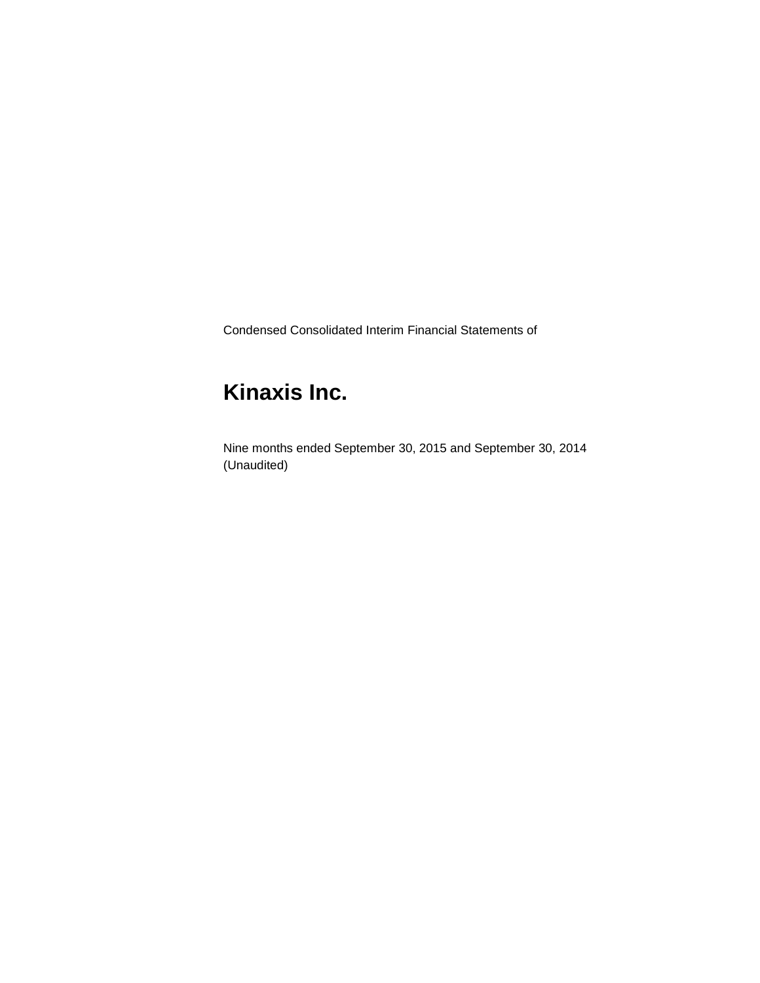Condensed Consolidated Interim Financial Statements of

# **Kinaxis Inc.**

Nine months ended September 30, 2015 and September 30, 2014 (Unaudited)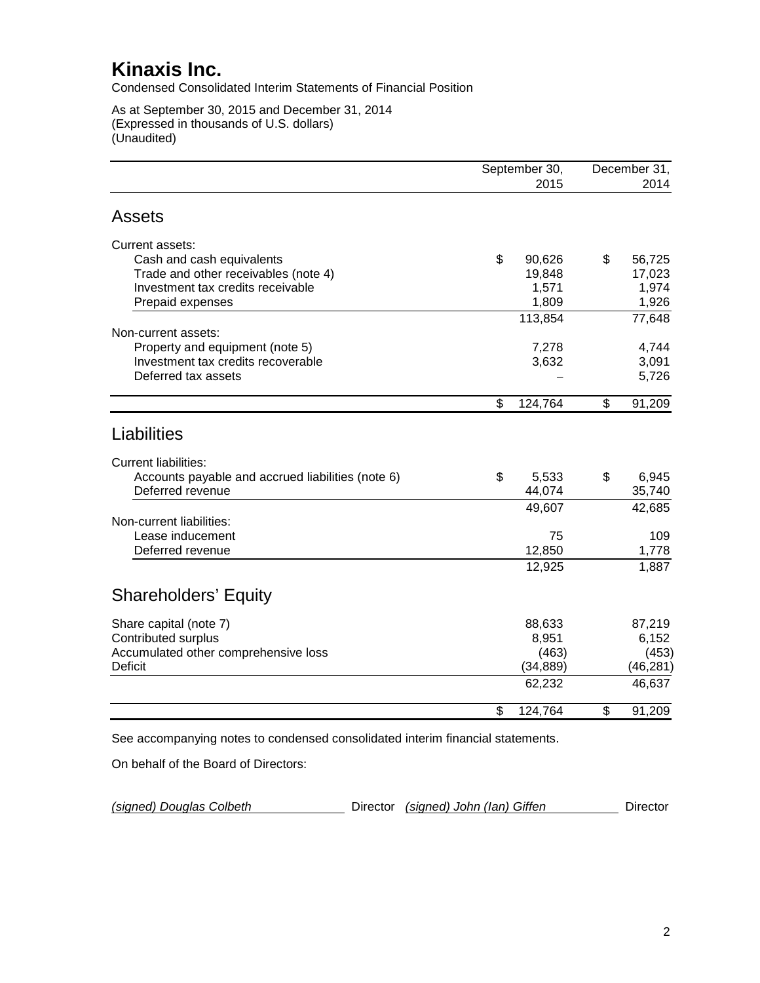Condensed Consolidated Interim Statements of Financial Position

As at September 30, 2015 and December 31, 2014 (Expressed in thousands of U.S. dollars) (Unaudited)

|                                                   | September 30, | December 31, |
|---------------------------------------------------|---------------|--------------|
|                                                   | 2015          | 2014         |
| <b>Assets</b>                                     |               |              |
| Current assets:                                   |               |              |
| Cash and cash equivalents                         | \$<br>90,626  | \$<br>56,725 |
| Trade and other receivables (note 4)              | 19,848        | 17,023       |
| Investment tax credits receivable                 | 1,571         | 1,974        |
| Prepaid expenses                                  | 1,809         | 1,926        |
|                                                   | 113,854       | 77,648       |
| Non-current assets:                               |               |              |
| Property and equipment (note 5)                   | 7,278         | 4,744        |
| Investment tax credits recoverable                | 3,632         | 3,091        |
| Deferred tax assets                               |               | 5,726        |
|                                                   | \$<br>124,764 | \$<br>91,209 |
|                                                   |               |              |
| Liabilities                                       |               |              |
| <b>Current liabilities:</b>                       |               |              |
| Accounts payable and accrued liabilities (note 6) | \$<br>5,533   | \$<br>6,945  |
| Deferred revenue                                  | 44,074        | 35,740       |
|                                                   | 49,607        | 42,685       |
| Non-current liabilities:                          |               |              |
| Lease inducement                                  | 75            | 109          |
| Deferred revenue                                  | 12,850        | 1,778        |
|                                                   | 12,925        | 1,887        |
|                                                   |               |              |
| <b>Shareholders' Equity</b>                       |               |              |
| Share capital (note 7)                            | 88,633        | 87,219       |
| <b>Contributed surplus</b>                        | 8,951         | 6,152        |
| Accumulated other comprehensive loss              | (463)         | (453)        |
| <b>Deficit</b>                                    | (34, 889)     | (46, 281)    |
|                                                   | 62,232        | 46,637       |
|                                                   | \$<br>124,764 | \$<br>91,209 |

On behalf of the Board of Directors:

| (signed) Douglas Colbeth |  | Director (signed) John (Ian) Giffen |  | Director |
|--------------------------|--|-------------------------------------|--|----------|
|--------------------------|--|-------------------------------------|--|----------|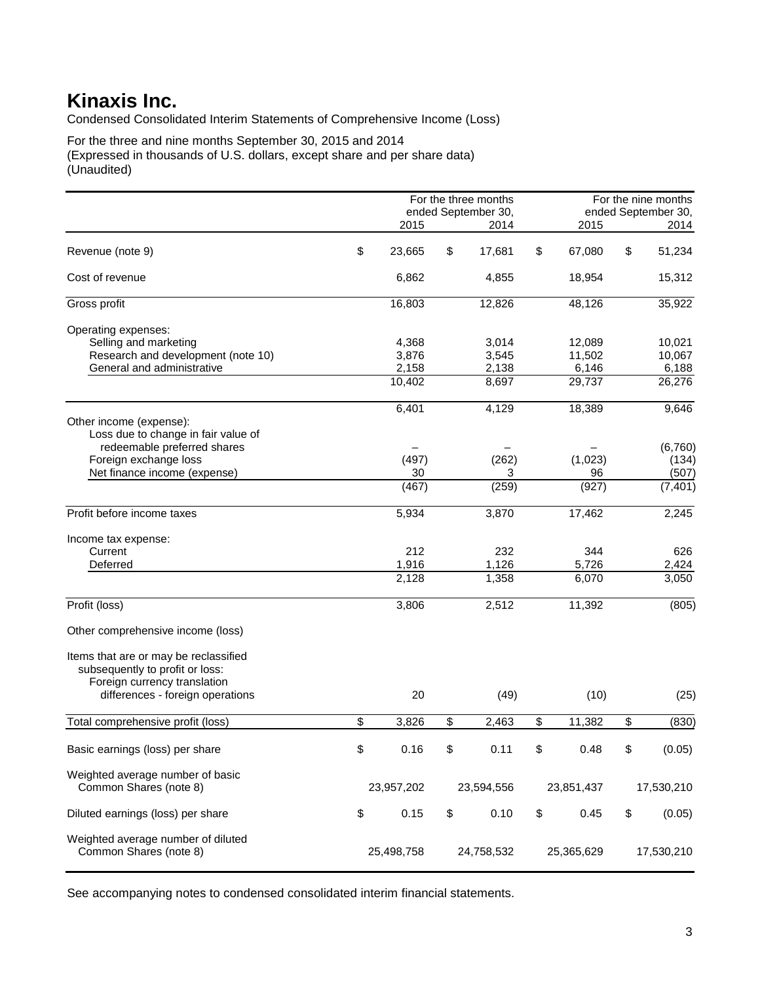Condensed Consolidated Interim Statements of Comprehensive Income (Loss)

For the three and nine months September 30, 2015 and 2014 (Expressed in thousands of U.S. dollars, except share and per share data) (Unaudited)

|                                       |              | For the three months |              | For the nine months |
|---------------------------------------|--------------|----------------------|--------------|---------------------|
|                                       |              | ended September 30,  |              | ended September 30, |
|                                       | 2015         | 2014                 | 2015         | 2014                |
| Revenue (note 9)                      | \$<br>23,665 | \$<br>17,681         | \$<br>67,080 | \$<br>51,234        |
| Cost of revenue                       | 6,862        | 4,855                | 18,954       | 15,312              |
| Gross profit                          | 16,803       | 12,826               | 48,126       | 35,922              |
| Operating expenses:                   |              |                      |              |                     |
| Selling and marketing                 | 4,368        | 3,014                | 12,089       | 10,021              |
| Research and development (note 10)    | 3,876        | 3,545                | 11,502       | 10,067              |
| General and administrative            | 2,158        | 2,138                | 6,146        | 6,188               |
|                                       | 10,402       | 8,697                | 29,737       | 26,276              |
|                                       | 6,401        | 4,129                | 18,389       | 9,646               |
| Other income (expense):               |              |                      |              |                     |
| Loss due to change in fair value of   |              |                      |              |                     |
| redeemable preferred shares           |              |                      |              | (6,760)             |
| Foreign exchange loss                 | (497)        | (262)                | (1,023)      | (134)               |
| Net finance income (expense)          | 30           | 3                    | 96           | (507)               |
|                                       | (467)        | (259)                | (927)        | (7, 401)            |
| Profit before income taxes            | 5,934        | 3,870                | 17,462       | 2,245               |
|                                       |              |                      |              |                     |
| Income tax expense:                   |              |                      |              |                     |
| Current                               | 212          | 232                  | 344          | 626                 |
| Deferred                              | 1,916        | 1,126                | 5,726        | 2,424               |
|                                       | 2,128        | 1,358                | 6,070        | 3,050               |
|                                       |              |                      |              |                     |
| Profit (loss)                         | 3,806        | 2,512                | 11,392       | (805)               |
| Other comprehensive income (loss)     |              |                      |              |                     |
| Items that are or may be reclassified |              |                      |              |                     |
| subsequently to profit or loss:       |              |                      |              |                     |
| Foreign currency translation          |              |                      |              |                     |
| differences - foreign operations      | 20           | (49)                 | (10)         | (25)                |
| Total comprehensive profit (loss)     | \$<br>3,826  | \$<br>2,463          | \$<br>11,382 | \$<br>(830)         |
|                                       |              |                      |              |                     |
| Basic earnings (loss) per share       | \$<br>0.16   | \$<br>0.11           | \$<br>0.48   | \$<br>(0.05)        |
| Weighted average number of basic      |              |                      |              |                     |
| Common Shares (note 8)                | 23,957,202   | 23,594,556           | 23,851,437   | 17,530,210          |
|                                       |              |                      |              |                     |
| Diluted earnings (loss) per share     | \$<br>0.15   | \$<br>0.10           | \$<br>0.45   | \$<br>(0.05)        |
|                                       |              |                      |              |                     |
| Weighted average number of diluted    |              |                      |              |                     |
| Common Shares (note 8)                | 25,498,758   | 24,758,532           | 25,365,629   | 17,530,210          |
|                                       |              |                      |              |                     |

See accompanying notes to condensed consolidated interim financial statements.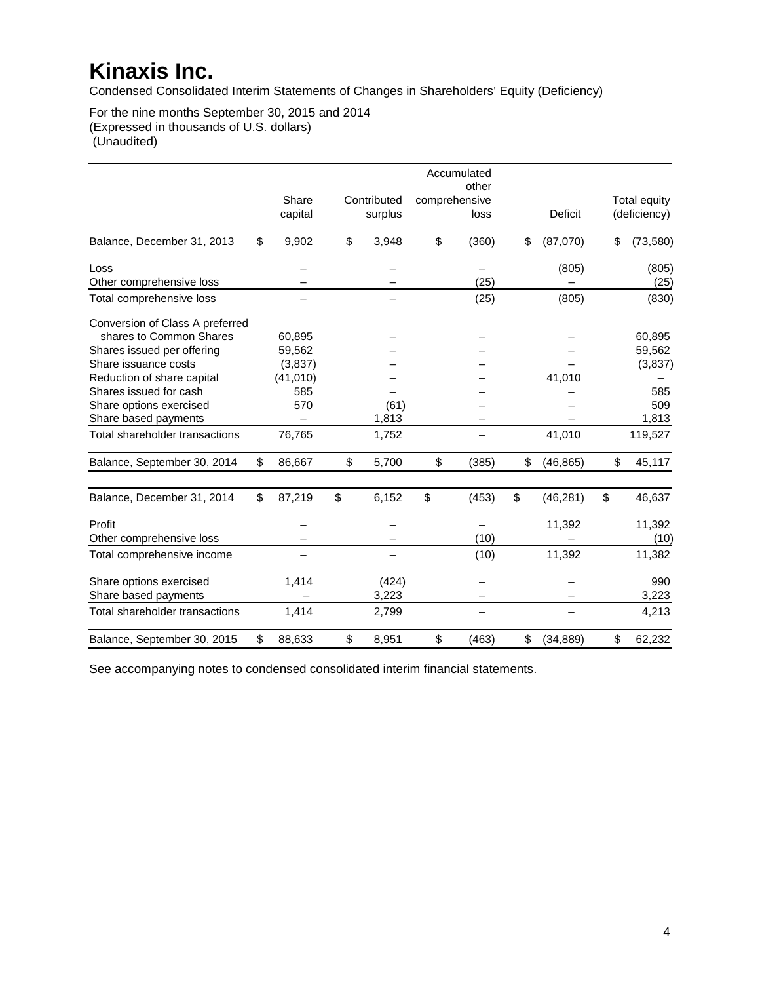Condensed Consolidated Interim Statements of Changes in Shareholders' Equity (Deficiency)

For the nine months September 30, 2015 and 2014 (Expressed in thousands of U.S. dollars) (Unaudited)

|                                 |                  |                        |               | Accumulated<br>other |                 |                              |
|---------------------------------|------------------|------------------------|---------------|----------------------|-----------------|------------------------------|
|                                 | Share<br>capital | Contributed<br>surplus | comprehensive | loss                 | <b>Deficit</b>  | Total equity<br>(deficiency) |
| Balance, December 31, 2013      | \$<br>9,902      | \$<br>3,948            | \$            | (360)                | \$<br>(87,070)  | \$<br>(73, 580)              |
| Loss                            |                  |                        |               |                      | (805)           | (805)                        |
| Other comprehensive loss        |                  |                        |               | (25)                 |                 | (25)                         |
| Total comprehensive loss        |                  |                        |               | (25)                 | (805)           | (830)                        |
| Conversion of Class A preferred |                  |                        |               |                      |                 |                              |
| shares to Common Shares         | 60,895           |                        |               |                      |                 | 60,895                       |
| Shares issued per offering      | 59,562           |                        |               |                      |                 | 59,562                       |
| Share issuance costs            | (3,837)          |                        |               |                      |                 | (3,837)                      |
| Reduction of share capital      | (41, 010)        |                        |               |                      | 41,010          |                              |
| Shares issued for cash          | 585              |                        |               |                      |                 | 585                          |
| Share options exercised         | 570              | (61)                   |               |                      |                 | 509                          |
| Share based payments            |                  | 1,813                  |               |                      |                 | 1,813                        |
| Total shareholder transactions  | 76,765           | 1,752                  |               |                      | 41,010          | 119,527                      |
| Balance, September 30, 2014     | \$<br>86,667     | \$<br>5,700            | \$            | (385)                | \$<br>(46, 865) | \$<br>45,117                 |
| Balance, December 31, 2014      | \$<br>87,219     | \$<br>6,152            | \$            | (453)                | \$<br>(46, 281) | \$<br>46,637                 |
| Profit                          |                  |                        |               |                      | 11,392          | 11,392                       |
| Other comprehensive loss        |                  |                        |               | (10)                 |                 | (10)                         |
| Total comprehensive income      |                  |                        |               | (10)                 | 11,392          | 11,382                       |
| Share options exercised         | 1,414            | (424)                  |               |                      |                 | 990                          |
| Share based payments            |                  | 3,223                  |               |                      |                 | 3,223                        |
| Total shareholder transactions  | 1,414            | 2,799                  |               |                      |                 | 4,213                        |
| Balance, September 30, 2015     | \$<br>88,633     | \$<br>8,951            | \$            | (463)                | \$<br>(34, 889) | \$<br>62,232                 |

See accompanying notes to condensed consolidated interim financial statements.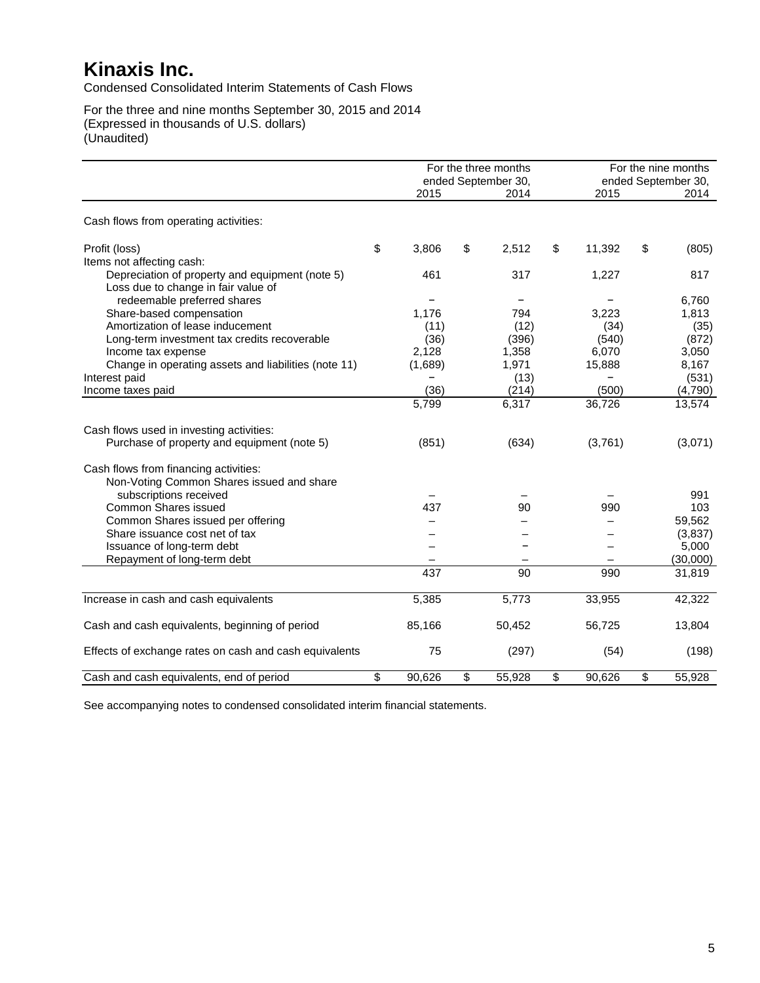Condensed Consolidated Interim Statements of Cash Flows

For the three and nine months September 30, 2015 and 2014 (Expressed in thousands of U.S. dollars) (Unaudited)

|                                                        | For the three months |    |                             |              | For the nine months |                             |
|--------------------------------------------------------|----------------------|----|-----------------------------|--------------|---------------------|-----------------------------|
|                                                        | 2015                 |    | ended September 30,<br>2014 | 2015         |                     | ended September 30,<br>2014 |
|                                                        |                      |    |                             |              |                     |                             |
| Cash flows from operating activities:                  |                      |    |                             |              |                     |                             |
| Profit (loss)                                          | \$<br>3,806          | \$ | 2,512                       | \$<br>11,392 | \$                  | (805)                       |
| Items not affecting cash:                              |                      |    |                             |              |                     |                             |
| Depreciation of property and equipment (note 5)        | 461                  |    | 317                         | 1,227        |                     | 817                         |
| Loss due to change in fair value of                    |                      |    |                             |              |                     |                             |
| redeemable preferred shares                            |                      |    |                             |              |                     | 6.760                       |
| Share-based compensation                               | 1,176                |    | 794                         | 3,223        |                     | 1,813                       |
| Amortization of lease inducement                       | (11)                 |    | (12)                        | (34)         |                     | (35)                        |
| Long-term investment tax credits recoverable           | (36)                 |    | (396)                       | (540)        |                     | (872)                       |
| Income tax expense                                     | 2,128                |    | 1,358                       | 6,070        |                     | 3,050                       |
| Change in operating assets and liabilities (note 11)   | (1,689)              |    | 1,971                       | 15,888       |                     | 8,167                       |
| Interest paid                                          |                      |    | (13)                        |              |                     | (531)                       |
| Income taxes paid                                      | (36)                 |    | (214)                       | (500)        |                     | (4,790)                     |
|                                                        | 5,799                |    | 6,317                       | 36,726       |                     | 13,574                      |
| Cash flows used in investing activities:               |                      |    |                             |              |                     |                             |
| Purchase of property and equipment (note 5)            | (851)                |    | (634)                       | (3,761)      |                     | (3,071)                     |
| Cash flows from financing activities:                  |                      |    |                             |              |                     |                             |
| Non-Voting Common Shares issued and share              |                      |    |                             |              |                     |                             |
| subscriptions received                                 |                      |    |                             |              |                     | 991                         |
| <b>Common Shares issued</b>                            | 437                  |    | 90                          | 990          |                     | 103                         |
| Common Shares issued per offering                      |                      |    |                             |              |                     | 59,562                      |
| Share issuance cost net of tax                         |                      |    |                             |              |                     | (3,837)                     |
| Issuance of long-term debt                             |                      |    |                             |              |                     | 5,000                       |
| Repayment of long-term debt                            |                      |    |                             |              |                     | (30,000)                    |
|                                                        | 437                  |    | 90                          | 990          |                     | 31,819                      |
| Increase in cash and cash equivalents                  | 5,385                |    | 5,773                       | 33,955       |                     | 42,322                      |
| Cash and cash equivalents, beginning of period         | 85,166               |    | 50,452                      | 56,725       |                     | 13,804                      |
| Effects of exchange rates on cash and cash equivalents | 75                   |    | (297)                       | (54)         |                     | (198)                       |
| Cash and cash equivalents, end of period               | \$<br>90,626         | \$ | 55,928                      | \$<br>90,626 | \$                  | 55,928                      |

See accompanying notes to condensed consolidated interim financial statements.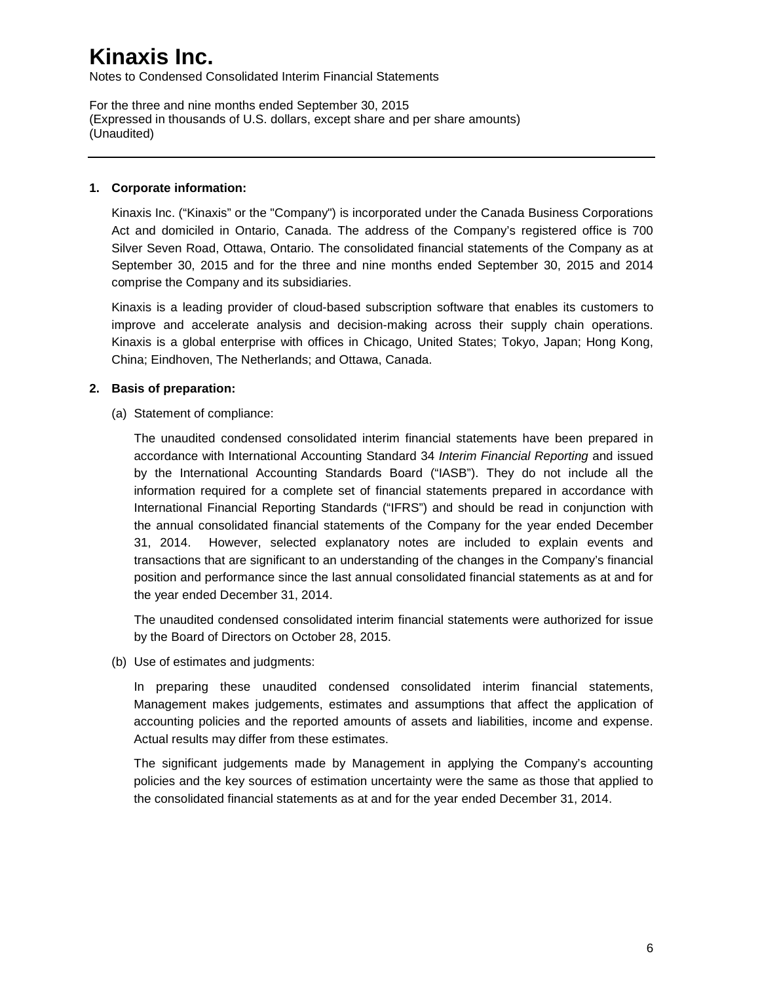Notes to Condensed Consolidated Interim Financial Statements

For the three and nine months ended September 30, 2015 (Expressed in thousands of U.S. dollars, except share and per share amounts) (Unaudited)

### **1. Corporate information:**

Kinaxis Inc. ("Kinaxis" or the "Company") is incorporated under the Canada Business Corporations Act and domiciled in Ontario, Canada. The address of the Company's registered office is 700 Silver Seven Road, Ottawa, Ontario. The consolidated financial statements of the Company as at September 30, 2015 and for the three and nine months ended September 30, 2015 and 2014 comprise the Company and its subsidiaries.

Kinaxis is a leading provider of cloud-based subscription software that enables its customers to improve and accelerate analysis and decision-making across their supply chain operations. Kinaxis is a global enterprise with offices in Chicago, United States; Tokyo, Japan; Hong Kong, China; Eindhoven, The Netherlands; and Ottawa, Canada.

### **2. Basis of preparation:**

(a) Statement of compliance:

The unaudited condensed consolidated interim financial statements have been prepared in accordance with International Accounting Standard 34 *Interim Financial Reporting* and issued by the International Accounting Standards Board ("IASB"). They do not include all the information required for a complete set of financial statements prepared in accordance with International Financial Reporting Standards ("IFRS") and should be read in conjunction with the annual consolidated financial statements of the Company for the year ended December 31, 2014. However, selected explanatory notes are included to explain events and transactions that are significant to an understanding of the changes in the Company's financial position and performance since the last annual consolidated financial statements as at and for the year ended December 31, 2014.

The unaudited condensed consolidated interim financial statements were authorized for issue by the Board of Directors on October 28, 2015.

(b) Use of estimates and judgments:

In preparing these unaudited condensed consolidated interim financial statements, Management makes judgements, estimates and assumptions that affect the application of accounting policies and the reported amounts of assets and liabilities, income and expense. Actual results may differ from these estimates.

The significant judgements made by Management in applying the Company's accounting policies and the key sources of estimation uncertainty were the same as those that applied to the consolidated financial statements as at and for the year ended December 31, 2014.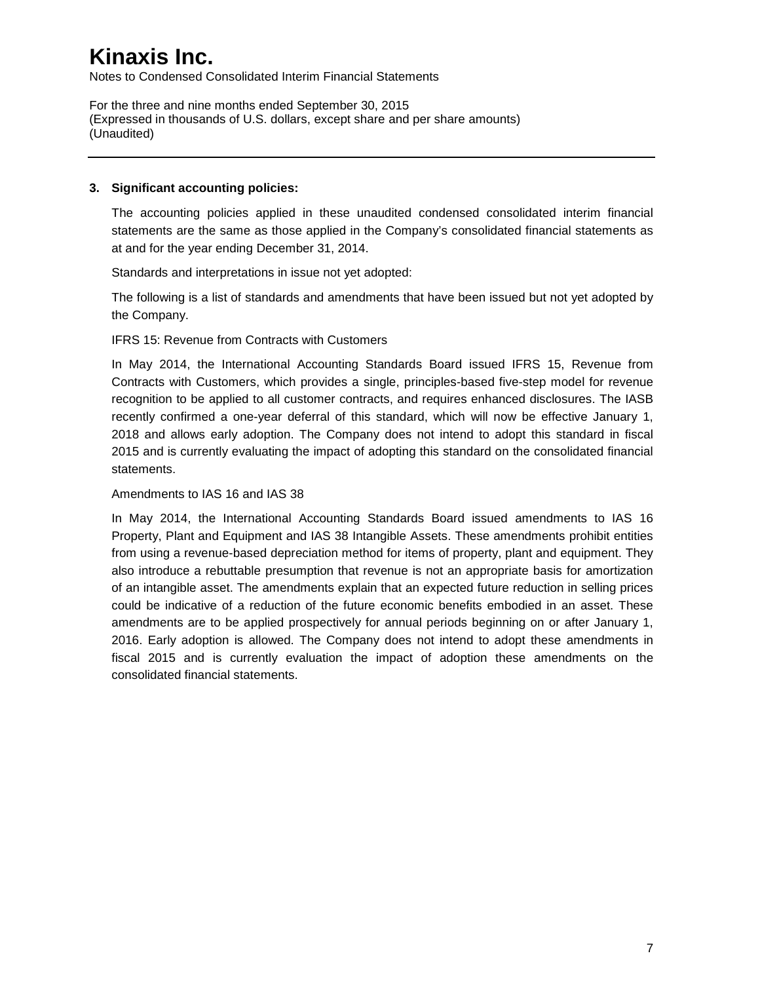Notes to Condensed Consolidated Interim Financial Statements

For the three and nine months ended September 30, 2015 (Expressed in thousands of U.S. dollars, except share and per share amounts) (Unaudited)

#### **3. Significant accounting policies:**

The accounting policies applied in these unaudited condensed consolidated interim financial statements are the same as those applied in the Company's consolidated financial statements as at and for the year ending December 31, 2014.

Standards and interpretations in issue not yet adopted:

The following is a list of standards and amendments that have been issued but not yet adopted by the Company.

#### IFRS 15: Revenue from Contracts with Customers

In May 2014, the International Accounting Standards Board issued IFRS 15, Revenue from Contracts with Customers, which provides a single, principles-based five-step model for revenue recognition to be applied to all customer contracts, and requires enhanced disclosures. The IASB recently confirmed a one-year deferral of this standard, which will now be effective January 1, 2018 and allows early adoption. The Company does not intend to adopt this standard in fiscal 2015 and is currently evaluating the impact of adopting this standard on the consolidated financial statements.

#### Amendments to IAS 16 and IAS 38

In May 2014, the International Accounting Standards Board issued amendments to IAS 16 Property, Plant and Equipment and IAS 38 Intangible Assets. These amendments prohibit entities from using a revenue-based depreciation method for items of property, plant and equipment. They also introduce a rebuttable presumption that revenue is not an appropriate basis for amortization of an intangible asset. The amendments explain that an expected future reduction in selling prices could be indicative of a reduction of the future economic benefits embodied in an asset. These amendments are to be applied prospectively for annual periods beginning on or after January 1, 2016. Early adoption is allowed. The Company does not intend to adopt these amendments in fiscal 2015 and is currently evaluation the impact of adoption these amendments on the consolidated financial statements.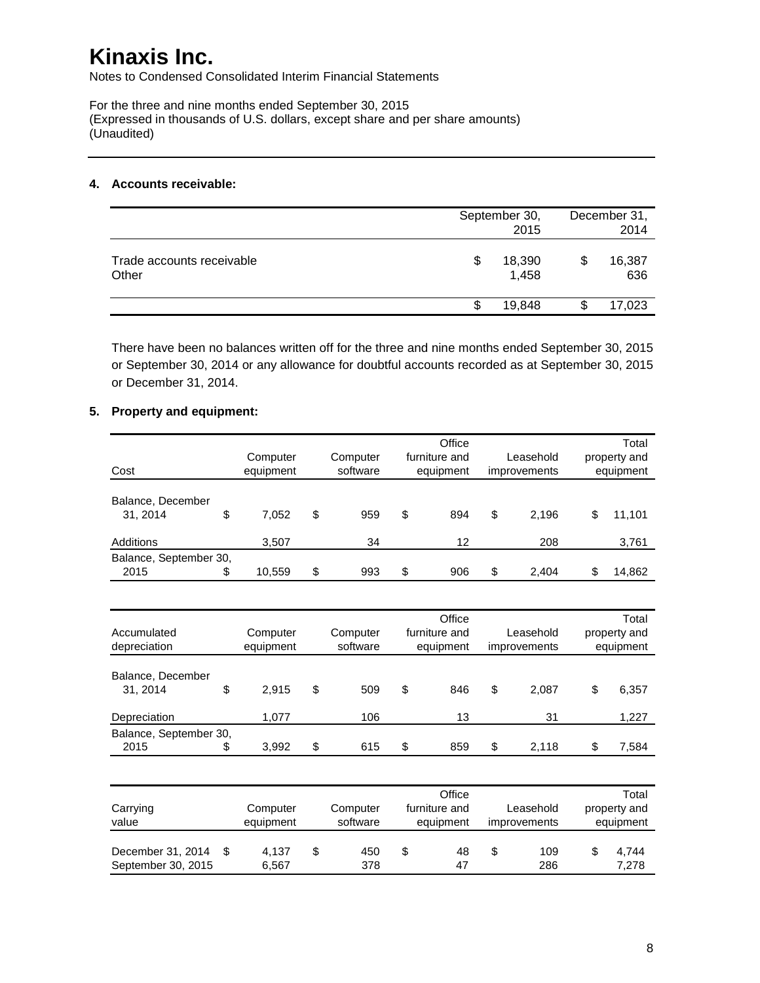Notes to Condensed Consolidated Interim Financial Statements

For the three and nine months ended September 30, 2015 (Expressed in thousands of U.S. dollars, except share and per share amounts) (Unaudited)

#### **4. Accounts receivable:**

|                                    | September 30, | December 31,<br>2014 |               |
|------------------------------------|---------------|----------------------|---------------|
| Trade accounts receivable<br>Other | \$            | 18,390<br>1,458      | 16,387<br>636 |
|                                    | \$.           | 19,848               | 17,023        |

There have been no balances written off for the three and nine months ended September 30, 2015 or September 30, 2014 or any allowance for doubtful accounts recorded as at September 30, 2015 or December 31, 2014.

### **5. Property and equipment:**

|                        |              |           | Office        |              | Total        |
|------------------------|--------------|-----------|---------------|--------------|--------------|
|                        | Computer     | Computer  | furniture and | Leasehold    | property and |
| Cost                   | equipment    | software  | equipment     | improvements | equipment    |
| Balance, December      |              |           |               |              |              |
| 31, 2014               | \$<br>7,052  | \$<br>959 | \$<br>894     | \$<br>2,196  | \$<br>11,101 |
| Additions              | 3,507        | 34        | 12            | 208          | 3,761        |
| Balance, September 30, |              |           |               |              |              |
| 2015                   | \$<br>10,559 | \$<br>993 | \$<br>906     | \$<br>2,404  | \$<br>14,862 |
|                        |              |           |               |              |              |
|                        |              |           | Office        |              | Total        |
| Accumulated            | Computer     | Computer  | furniture and | Leasehold    | property and |
| depreciation           | equipment    | software  | equipment     | improvements | equipment    |
|                        |              |           |               |              |              |
| Balance, December      |              |           |               |              |              |
| 31, 2014               | \$<br>2,915  | \$<br>509 | \$<br>846     | \$<br>2,087  | \$<br>6,357  |
| Depreciation           | 1,077        | 106       | 13            | 31           | 1,227        |
| Balance, September 30, |              |           |               |              |              |
| 2015                   | \$<br>3,992  | \$<br>615 | \$<br>859     | \$<br>2,118  | \$<br>7,584  |
|                        |              |           |               |              |              |
|                        |              |           | Office        |              | Total        |
| Carrying               | Computer     | Computer  | furniture and | Leasehold    | property and |
| value                  | equipment    | software  | equipment     | improvements | equipment    |
|                        |              |           |               |              |              |
| December 31, 2014      | \$<br>4,137  | \$<br>450 | \$<br>48      | \$<br>109    | \$<br>4,744  |
| September 30, 2015     | 6,567        | 378       | 47            | 286          | 7,278        |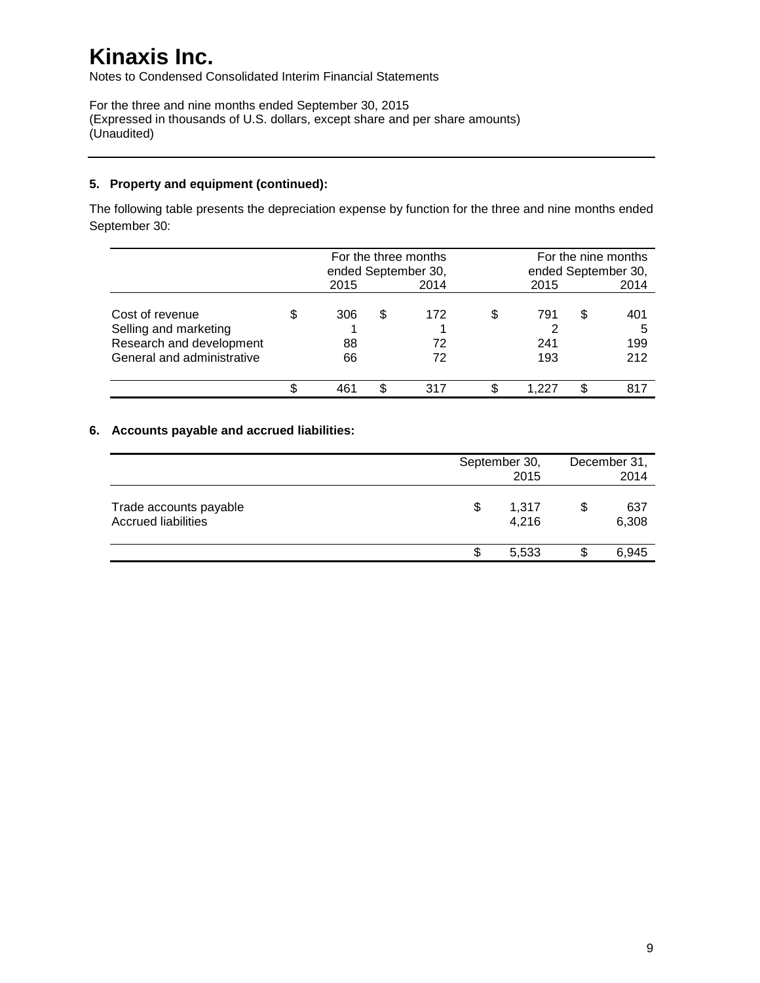Notes to Condensed Consolidated Interim Financial Statements

For the three and nine months ended September 30, 2015 (Expressed in thousands of U.S. dollars, except share and per share amounts) (Unaudited)

### **5. Property and equipment (continued):**

The following table presents the depreciation expense by function for the three and nine months ended September 30:

|                                                                                                    |                 |     | For the three months<br>ended September 30, |    | For the nine months<br>ended September 30, |   |                        |
|----------------------------------------------------------------------------------------------------|-----------------|-----|---------------------------------------------|----|--------------------------------------------|---|------------------------|
|                                                                                                    | 2015            |     | 2014                                        |    | 2015                                       |   | 2014                   |
| Cost of revenue<br>Selling and marketing<br>Research and development<br>General and administrative | 306<br>88<br>66 | \$. | 172<br>72<br>72                             | S  | 791<br>241<br>193                          | S | 401<br>5<br>199<br>212 |
|                                                                                                    | 461             |     | 317                                         | \$ |                                            |   | 817                    |

### **6. Accounts payable and accrued liabilities:**

|                                                      |    | September 30,<br>2015 |   |              |
|------------------------------------------------------|----|-----------------------|---|--------------|
| Trade accounts payable<br><b>Accrued liabilities</b> | \$ | 1,317<br>4,216        | S | 637<br>6,308 |
|                                                      | S  | 5,533                 |   | 6,945        |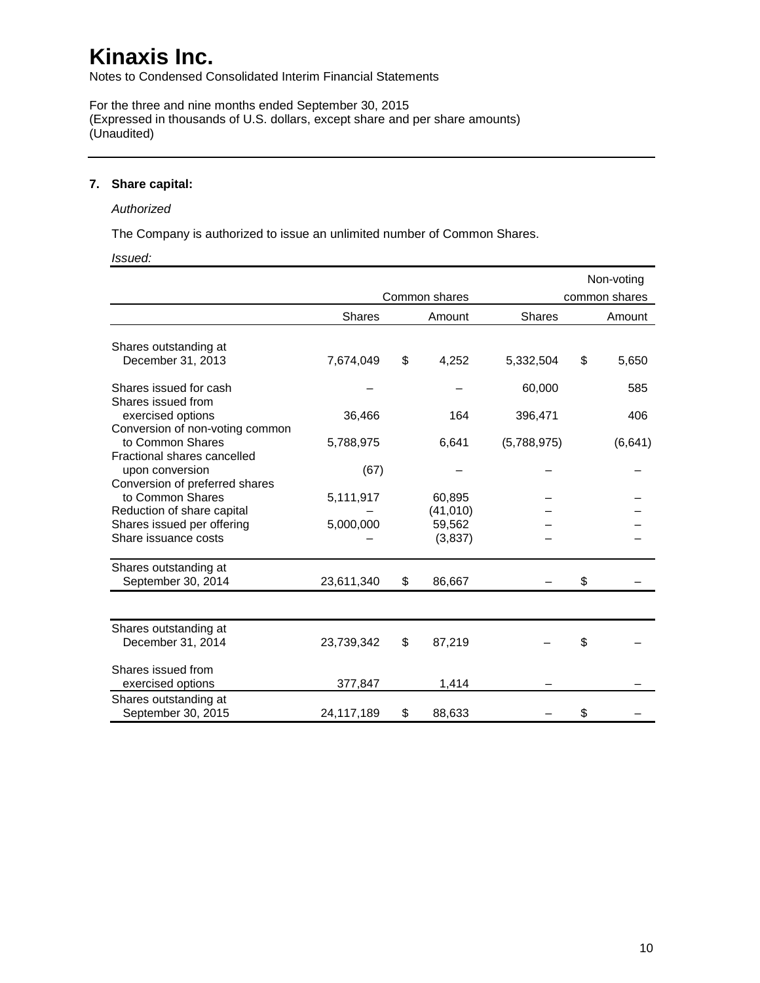Notes to Condensed Consolidated Interim Financial Statements

For the three and nine months ended September 30, 2015 (Expressed in thousands of U.S. dollars, except share and per share amounts) (Unaudited)

#### **7. Share capital:**

#### *Authorized*

The Company is authorized to issue an unlimited number of Common Shares.

#### *Issued:*

|                                                    |               |               |               | Non-voting    |
|----------------------------------------------------|---------------|---------------|---------------|---------------|
|                                                    |               | Common shares |               | common shares |
|                                                    | <b>Shares</b> | Amount        | <b>Shares</b> | Amount        |
| Shares outstanding at                              |               |               |               |               |
| December 31, 2013                                  | 7,674,049     | \$<br>4,252   | 5,332,504     | \$<br>5,650   |
| Shares issued for cash                             |               |               | 60,000        | 585           |
| Shares issued from<br>exercised options            | 36,466        | 164           | 396,471       | 406           |
| Conversion of non-voting common                    |               |               |               |               |
| to Common Shares<br>Fractional shares cancelled    | 5,788,975     | 6,641         | (5,788,975)   | (6, 641)      |
| upon conversion                                    | (67)          |               |               |               |
| Conversion of preferred shares<br>to Common Shares | 5,111,917     | 60.895        |               |               |
| Reduction of share capital                         |               | (41, 010)     |               |               |
| Shares issued per offering                         | 5,000,000     | 59,562        |               |               |
| Share issuance costs                               |               | (3,837)       |               |               |
| Shares outstanding at                              |               |               |               |               |
| September 30, 2014                                 | 23,611,340    | \$<br>86,667  |               | \$            |
|                                                    |               |               |               |               |
| Shares outstanding at                              |               |               |               |               |
| December 31, 2014                                  | 23,739,342    | \$<br>87,219  |               | \$            |
| Shares issued from                                 |               |               |               |               |
| exercised options                                  | 377,847       | 1,414         |               |               |
| Shares outstanding at<br>September 30, 2015        |               | \$            |               |               |
|                                                    | 24,117,189    | 88,633        |               | \$            |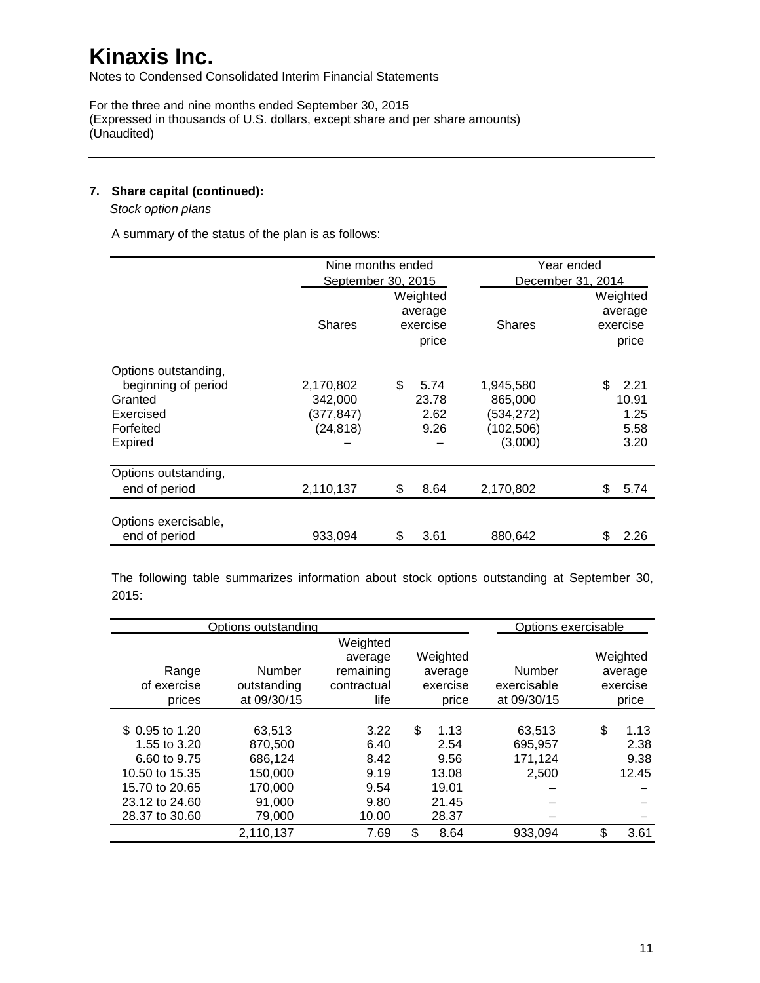Notes to Condensed Consolidated Interim Financial Statements

For the three and nine months ended September 30, 2015 (Expressed in thousands of U.S. dollars, except share and per share amounts) (Unaudited)

### **7. Share capital (continued):**

 *Stock option plans*

A summary of the status of the plan is as follows:

|                      | Nine months ended  |          |          |                   | Year ended |          |
|----------------------|--------------------|----------|----------|-------------------|------------|----------|
|                      | September 30, 2015 |          |          | December 31, 2014 |            |          |
|                      |                    |          | Weighted |                   |            | Weighted |
|                      |                    |          | average  |                   |            | average  |
|                      | <b>Shares</b>      | exercise |          | <b>Shares</b>     |            | exercise |
|                      |                    |          | price    |                   |            | price    |
| Options outstanding, |                    |          |          |                   |            |          |
| beginning of period  | 2,170,802          | \$       | 5.74     | 1,945,580         | \$.        | 2.21     |
| Granted              | 342,000            |          | 23.78    | 865,000           |            | 10.91    |
| Exercised            | (377,847)          |          | 2.62     | (534,272)         |            | 1.25     |
| Forfeited            | (24, 818)          |          | 9.26     | (102, 506)        |            | 5.58     |
| Expired              |                    |          |          | (3,000)           |            | 3.20     |
| Options outstanding, |                    |          |          |                   |            |          |
| end of period        | 2,110,137          | \$       | 8.64     | 2,170,802         | \$         | 5.74     |
| Options exercisable, |                    |          |          |                   |            |          |
| end of period        | 933,094            | \$       | 3.61     | 880,642           | \$         | 2.26     |

The following table summarizes information about stock options outstanding at September 30, 2015:

|                 | Options outstanding |                     |            | Options exercisable |            |
|-----------------|---------------------|---------------------|------------|---------------------|------------|
|                 |                     | Weighted<br>average | Weighted   |                     | Weighted   |
| Range           | Number              | remaining           | average    | Number              | average    |
| of exercise     | outstanding         | contractual         | exercise   | exercisable         | exercise   |
| prices          | at 09/30/15         | life                | price      | at 09/30/15         | price      |
|                 |                     |                     |            |                     |            |
| \$ 0.95 to 1.20 | 63.513              | 3.22                | \$<br>1.13 | 63.513              | \$<br>1.13 |
| 1.55 to 3.20    | 870.500             | 6.40                | 2.54       | 695,957             | 2.38       |
| 6.60 to 9.75    | 686,124             | 8.42                | 9.56       | 171,124             | 9.38       |
| 10.50 to 15.35  | 150,000             | 9.19                | 13.08      | 2,500               | 12.45      |
| 15.70 to 20.65  | 170,000             | 9.54                | 19.01      |                     |            |
| 23.12 to 24.60  | 91,000              | 9.80                | 21.45      |                     |            |
| 28.37 to 30.60  | 79,000              | 10.00               | 28.37      |                     |            |
|                 | 2,110,137           | 7.69                | \$<br>8.64 | 933,094             | \$<br>3.61 |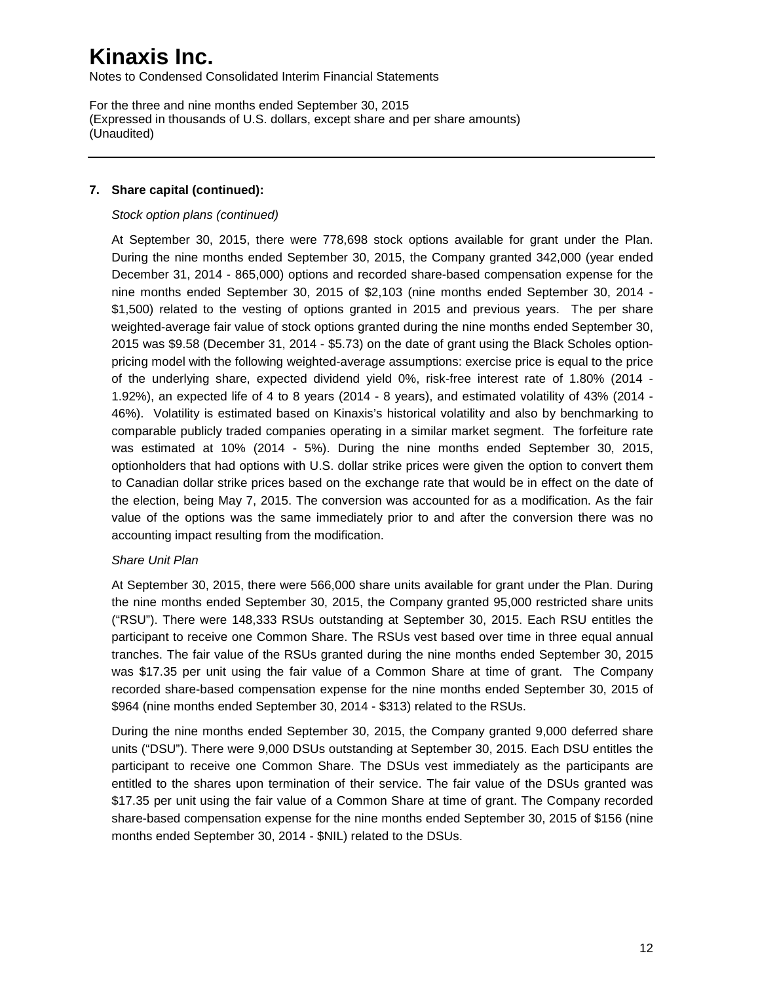Notes to Condensed Consolidated Interim Financial Statements

For the three and nine months ended September 30, 2015 (Expressed in thousands of U.S. dollars, except share and per share amounts) (Unaudited)

#### **7. Share capital (continued):**

#### *Stock option plans (continued)*

At September 30, 2015, there were 778,698 stock options available for grant under the Plan. During the nine months ended September 30, 2015, the Company granted 342,000 (year ended December 31, 2014 - 865,000) options and recorded share-based compensation expense for the nine months ended September 30, 2015 of \$2,103 (nine months ended September 30, 2014 - \$1,500) related to the vesting of options granted in 2015 and previous years. The per share weighted-average fair value of stock options granted during the nine months ended September 30, 2015 was \$9.58 (December 31, 2014 - \$5.73) on the date of grant using the Black Scholes optionpricing model with the following weighted-average assumptions: exercise price is equal to the price of the underlying share, expected dividend yield 0%, risk-free interest rate of 1.80% (2014 - 1.92%), an expected life of 4 to 8 years (2014 - 8 years), and estimated volatility of 43% (2014 - 46%). Volatility is estimated based on Kinaxis's historical volatility and also by benchmarking to comparable publicly traded companies operating in a similar market segment. The forfeiture rate was estimated at 10% (2014 - 5%). During the nine months ended September 30, 2015, optionholders that had options with U.S. dollar strike prices were given the option to convert them to Canadian dollar strike prices based on the exchange rate that would be in effect on the date of the election, being May 7, 2015. The conversion was accounted for as a modification. As the fair value of the options was the same immediately prior to and after the conversion there was no accounting impact resulting from the modification.

#### *Share Unit Plan*

At September 30, 2015, there were 566,000 share units available for grant under the Plan. During the nine months ended September 30, 2015, the Company granted 95,000 restricted share units ("RSU"). There were 148,333 RSUs outstanding at September 30, 2015. Each RSU entitles the participant to receive one Common Share. The RSUs vest based over time in three equal annual tranches. The fair value of the RSUs granted during the nine months ended September 30, 2015 was \$17.35 per unit using the fair value of a Common Share at time of grant. The Company recorded share-based compensation expense for the nine months ended September 30, 2015 of \$964 (nine months ended September 30, 2014 - \$313) related to the RSUs.

During the nine months ended September 30, 2015, the Company granted 9,000 deferred share units ("DSU"). There were 9,000 DSUs outstanding at September 30, 2015. Each DSU entitles the participant to receive one Common Share. The DSUs vest immediately as the participants are entitled to the shares upon termination of their service. The fair value of the DSUs granted was \$17.35 per unit using the fair value of a Common Share at time of grant. The Company recorded share-based compensation expense for the nine months ended September 30, 2015 of \$156 (nine months ended September 30, 2014 - \$NIL) related to the DSUs.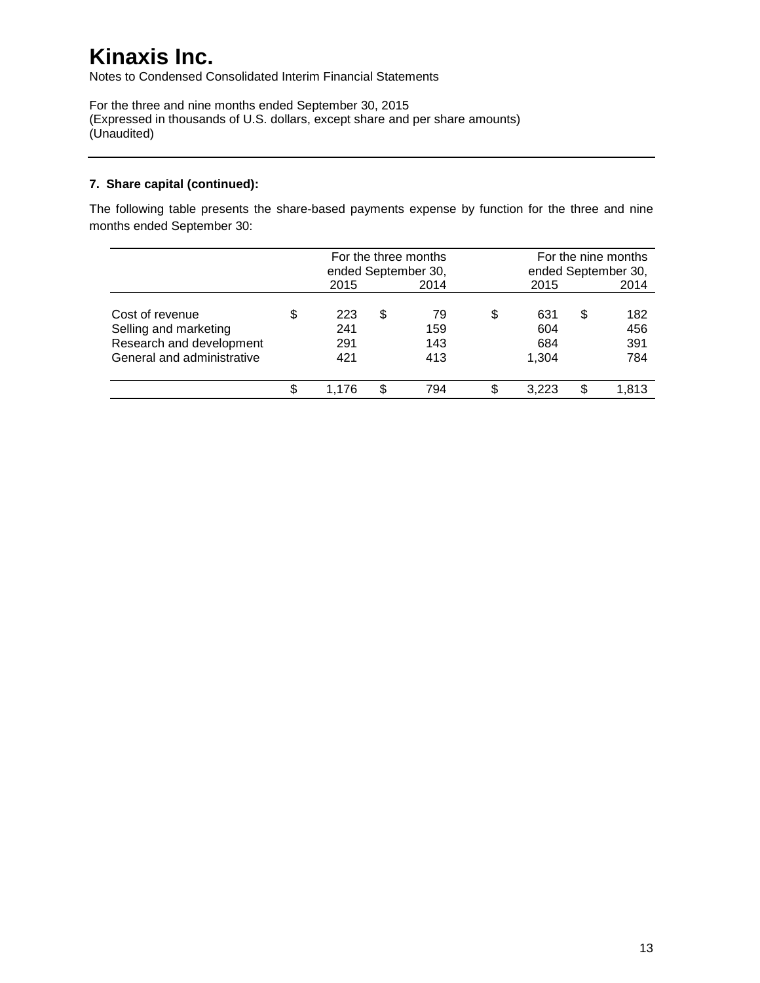Notes to Condensed Consolidated Interim Financial Statements

For the three and nine months ended September 30, 2015 (Expressed in thousands of U.S. dollars, except share and per share amounts) (Unaudited)

### **7. Share capital (continued):**

The following table presents the share-based payments expense by function for the three and nine months ended September 30:

|                                                                                                    |   | For the three months<br>ended September 30, |   |                         | For the nine months<br>ended September 30, |   |                          |  |
|----------------------------------------------------------------------------------------------------|---|---------------------------------------------|---|-------------------------|--------------------------------------------|---|--------------------------|--|
|                                                                                                    |   | 2015                                        |   | 2014                    | 2015                                       |   | 2014                     |  |
| Cost of revenue<br>Selling and marketing<br>Research and development<br>General and administrative | S | 223<br>241<br>291<br>421                    | S | 79<br>159<br>143<br>413 | \$<br>631<br>604<br>684<br>1.304           | S | 182<br>456<br>391<br>784 |  |
|                                                                                                    |   | 1.176                                       |   | 794                     | \$<br>3.223                                |   | 1.813                    |  |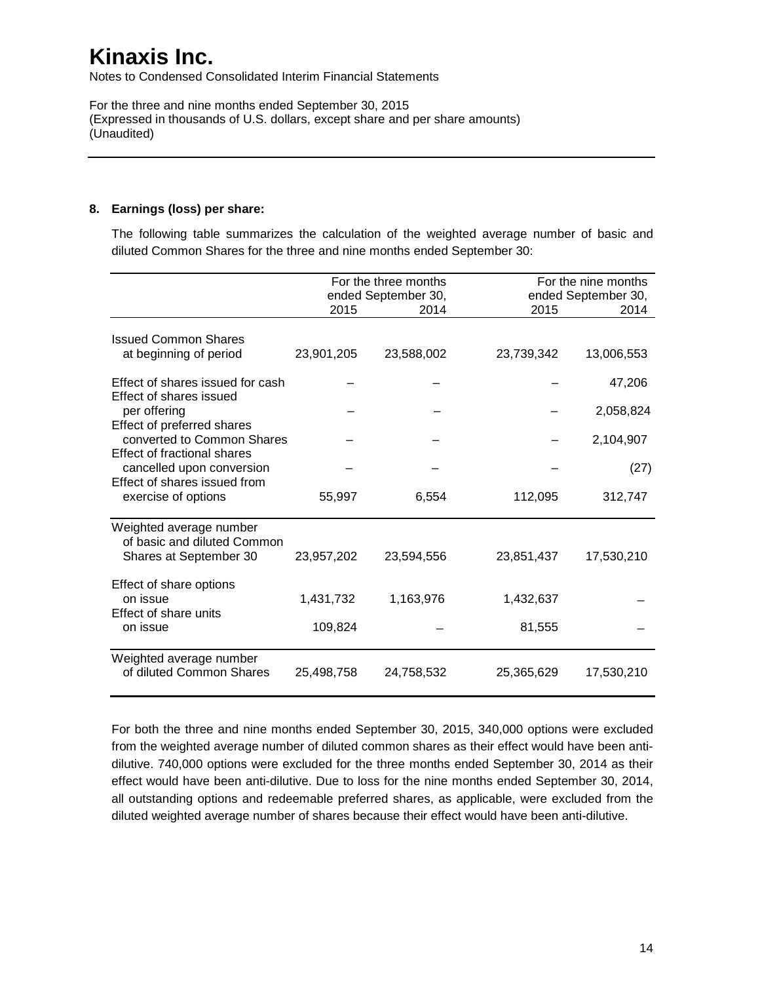Notes to Condensed Consolidated Interim Financial Statements

For the three and nine months ended September 30, 2015 (Expressed in thousands of U.S. dollars, except share and per share amounts) (Unaudited)

### **8. Earnings (loss) per share:**

The following table summarizes the calculation of the weighted average number of basic and diluted Common Shares for the three and nine months ended September 30:

|                                                             |            | For the three months<br>ended September 30, |            | For the nine months<br>ended September 30, |
|-------------------------------------------------------------|------------|---------------------------------------------|------------|--------------------------------------------|
|                                                             | 2015       | 2014                                        | 2015       | 2014                                       |
| <b>Issued Common Shares</b><br>at beginning of period       | 23,901,205 | 23,588,002                                  | 23,739,342 | 13,006,553                                 |
|                                                             |            |                                             |            |                                            |
| Effect of shares issued for cash<br>Effect of shares issued |            |                                             |            | 47,206                                     |
| per offering<br>Effect of preferred shares                  |            |                                             |            | 2,058,824                                  |
| converted to Common Shares                                  |            |                                             |            | 2,104,907                                  |
| Effect of fractional shares<br>cancelled upon conversion    |            |                                             |            | (27)                                       |
| Effect of shares issued from<br>exercise of options         | 55,997     | 6,554                                       | 112,095    | 312,747                                    |
| Weighted average number<br>of basic and diluted Common      |            |                                             |            |                                            |
| Shares at September 30                                      | 23,957,202 | 23,594,556                                  | 23,851,437 | 17,530,210                                 |
| Effect of share options<br>on issue                         | 1,431,732  | 1,163,976                                   | 1,432,637  |                                            |
| Effect of share units                                       |            |                                             |            |                                            |
| on issue                                                    | 109,824    |                                             | 81,555     |                                            |
| Weighted average number<br>of diluted Common Shares         | 25,498,758 | 24,758,532                                  | 25,365,629 | 17,530,210                                 |

For both the three and nine months ended September 30, 2015, 340,000 options were excluded from the weighted average number of diluted common shares as their effect would have been antidilutive. 740,000 options were excluded for the three months ended September 30, 2014 as their effect would have been anti-dilutive. Due to loss for the nine months ended September 30, 2014, all outstanding options and redeemable preferred shares, as applicable, were excluded from the diluted weighted average number of shares because their effect would have been anti-dilutive.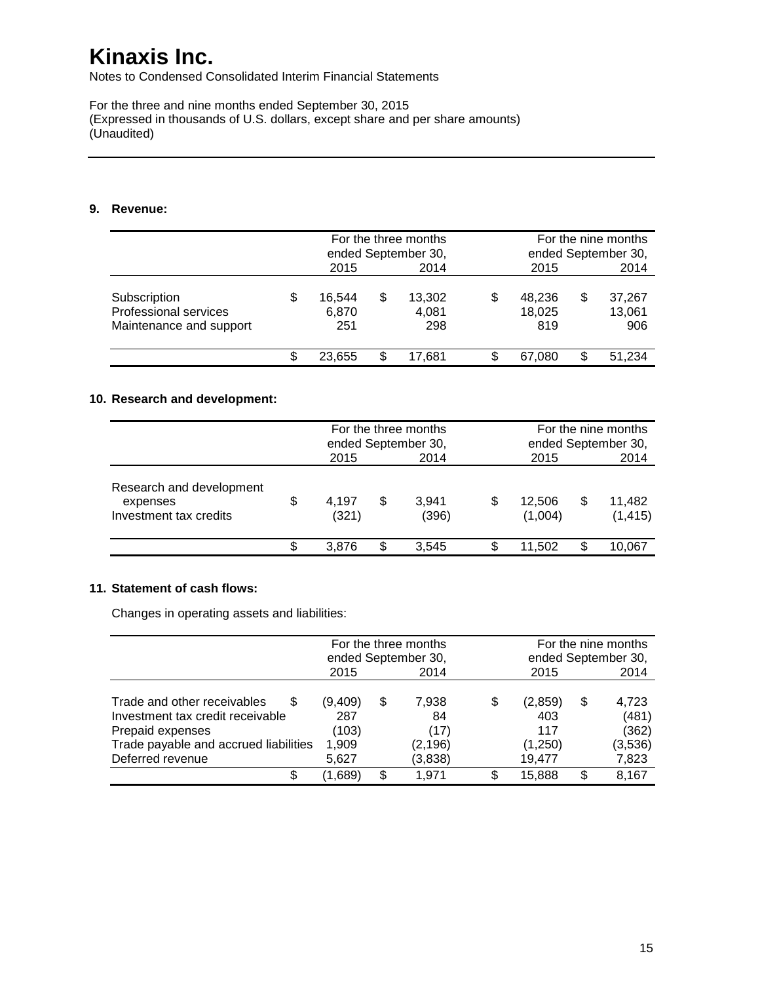Notes to Condensed Consolidated Interim Financial Statements

For the three and nine months ended September 30, 2015 (Expressed in thousands of U.S. dollars, except share and per share amounts) (Unaudited)

#### **9. Revenue:**

|                                                                  | 2015                         |    | For the three months<br>ended September 30,<br>2014 |    | For the nine months<br>ended September 30,<br>2015 |   |                         |
|------------------------------------------------------------------|------------------------------|----|-----------------------------------------------------|----|----------------------------------------------------|---|-------------------------|
| Subscription<br>Professional services<br>Maintenance and support | \$<br>16.544<br>6.870<br>251 | \$ | 13,302<br>4,081<br>298                              | S  | 48.236<br>18.025<br>819                            | S | 37,267<br>13,061<br>906 |
|                                                                  | 23.655                       | S  | 17.681                                              | \$ | 67.080                                             |   | 51.234                  |

### **10. Research and development:**

|                                                                |   | For the three months<br>ended September 30, |     |                |    | For the nine months<br>ended September 30, |   |                    |  |
|----------------------------------------------------------------|---|---------------------------------------------|-----|----------------|----|--------------------------------------------|---|--------------------|--|
|                                                                |   | 2015                                        |     | 2014           |    | 2015                                       |   | 2014               |  |
| Research and development<br>expenses<br>Investment tax credits | S | 4,197<br>(321)                              | S   | 3,941<br>(396) | S  | 12.506<br>(1,004)                          | S | 11,482<br>(1, 415) |  |
|                                                                | S | 3.876                                       | \$. | 3,545          | \$ | 11,502                                     |   | 10,067             |  |

### **11. Statement of cash flows:**

Changes in operating assets and liabilities:

|                                                                                                                                                       |                                           |      | For the three months<br>ended September 30, |    | For the nine months<br>ended September 30, |      |                                             |
|-------------------------------------------------------------------------------------------------------------------------------------------------------|-------------------------------------------|------|---------------------------------------------|----|--------------------------------------------|------|---------------------------------------------|
|                                                                                                                                                       | 2015                                      | 2014 |                                             |    | 2015                                       | 2014 |                                             |
| Trade and other receivables<br>S<br>Investment tax credit receivable<br>Prepaid expenses<br>Trade payable and accrued liabilities<br>Deferred revenue | (9,409)<br>287<br>(103)<br>1,909<br>5.627 | \$   | 7,938<br>84<br>(17)<br>(2, 196)<br>(3,838)  | S  | (2,859)<br>403<br>117<br>(1,250)<br>19.477 | \$   | 4,723<br>(481)<br>(362)<br>(3,536)<br>7,823 |
| S                                                                                                                                                     | (1,689)                                   | S.   | 1.971                                       | S. | 15.888                                     |      | 8,167                                       |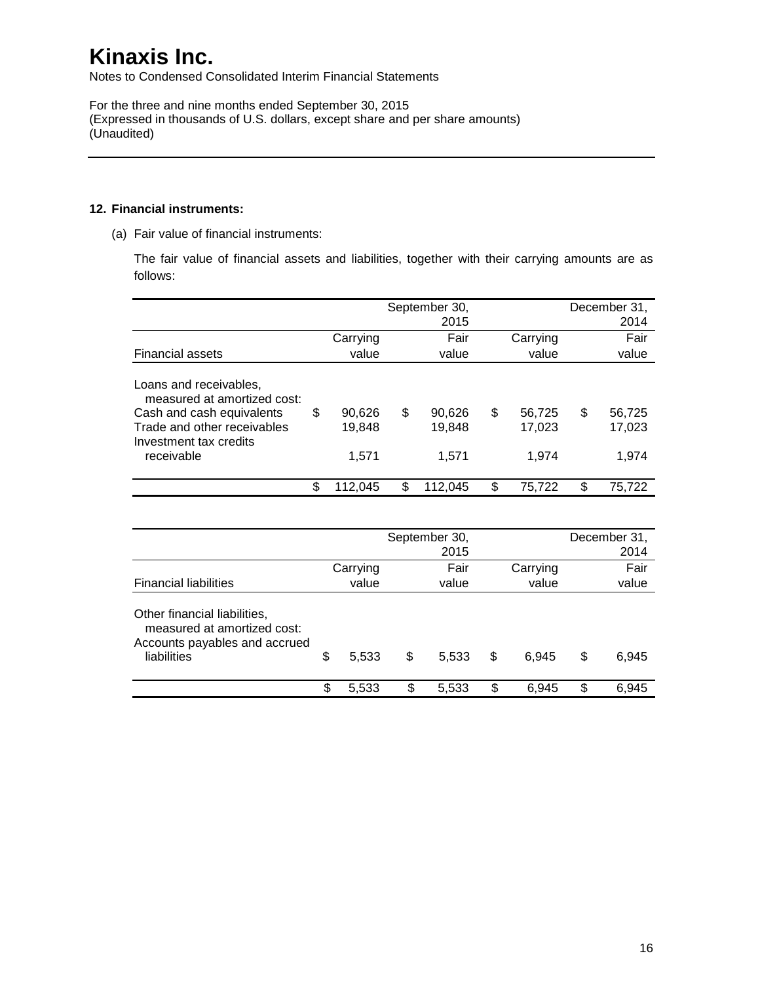Notes to Condensed Consolidated Interim Financial Statements

For the three and nine months ended September 30, 2015 (Expressed in thousands of U.S. dollars, except share and per share amounts) (Unaudited)

#### **12. Financial instruments:**

(a) Fair value of financial instruments:

The fair value of financial assets and liabilities, together with their carrying amounts are as follows:

|                                                                                                                                                           | September 30,<br>2015 |                           |    |                           |    |                           |    | December 31,<br>2014      |
|-----------------------------------------------------------------------------------------------------------------------------------------------------------|-----------------------|---------------------------|----|---------------------------|----|---------------------------|----|---------------------------|
|                                                                                                                                                           |                       | Carrying                  |    | Fair                      |    | Carrying                  |    | Fair                      |
| <b>Financial assets</b>                                                                                                                                   |                       | value                     |    | value                     |    | value                     |    | value                     |
| Loans and receivables,<br>measured at amortized cost:<br>Cash and cash equivalents<br>Trade and other receivables<br>Investment tax credits<br>receivable | \$                    | 90,626<br>19.848<br>1.571 | \$ | 90.626<br>19,848<br>1,571 | \$ | 56,725<br>17,023<br>1.974 | \$ | 56,725<br>17,023<br>1.974 |
|                                                                                                                                                           | \$                    | 112,045                   |    | 112,045                   | \$ | 75,722                    | \$ | 75.722                    |

|                                                                                                             |             | September 30,<br>2015 |             | December 31,<br>2014 |
|-------------------------------------------------------------------------------------------------------------|-------------|-----------------------|-------------|----------------------|
|                                                                                                             | Carrying    | Fair                  | Carrying    | Fair                 |
| <b>Financial liabilities</b>                                                                                | value       | value                 | value       | value                |
| Other financial liabilities,<br>measured at amortized cost:<br>Accounts payables and accrued<br>liabilities | \$<br>5,533 | \$<br>5,533           | \$<br>6.945 | \$<br>6,945          |
|                                                                                                             | \$<br>5,533 | \$<br>5,533           | \$<br>6.945 | \$<br>6.945          |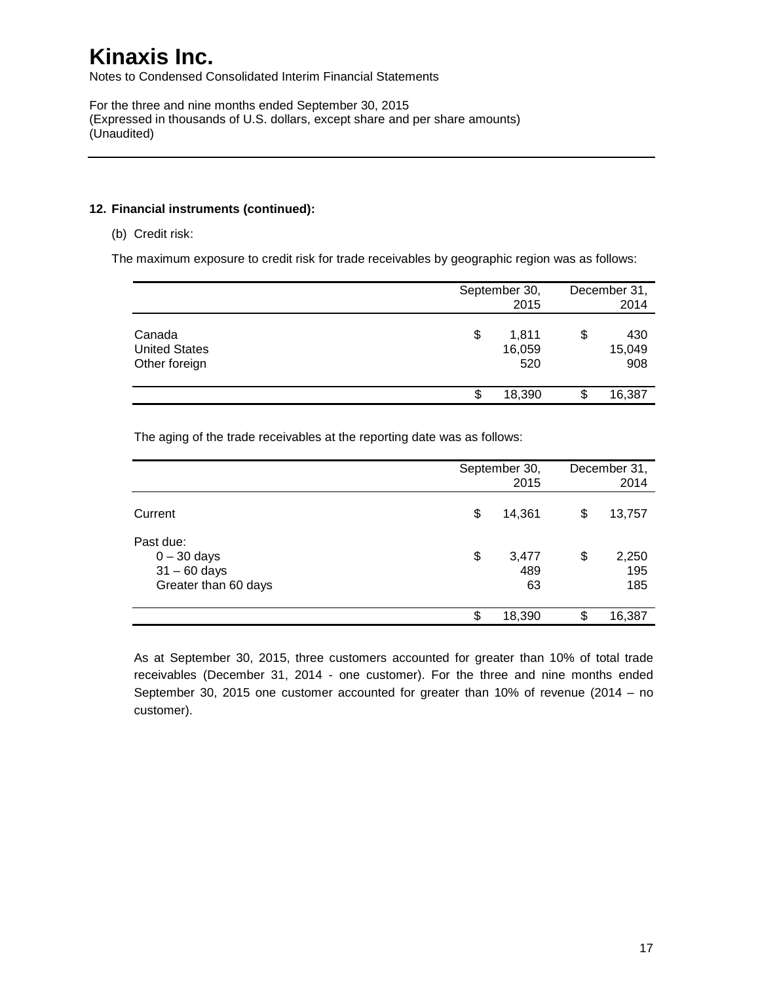Notes to Condensed Consolidated Interim Financial Statements

For the three and nine months ended September 30, 2015 (Expressed in thousands of U.S. dollars, except share and per share amounts) (Unaudited)

#### **12. Financial instruments (continued):**

(b) Credit risk:

The maximum exposure to credit risk for trade receivables by geographic region was as follows:

|                                                 |    | September 30,<br>2015  |   |                      |  |  |
|-------------------------------------------------|----|------------------------|---|----------------------|--|--|
| Canada<br><b>United States</b><br>Other foreign | \$ | 1,811<br>16,059<br>520 |   | 430<br>15,049<br>908 |  |  |
|                                                 | S  | 18,390                 | S | 16,387               |  |  |

The aging of the trade receivables at the reporting date was as follows:

|                                                                      | September 30,<br>2015    | December 31,<br>2014 |                     |
|----------------------------------------------------------------------|--------------------------|----------------------|---------------------|
| Current                                                              | \$<br>14,361             | S                    | 13,757              |
| Past due:<br>$0 - 30$ days<br>$31 - 60$ days<br>Greater than 60 days | \$<br>3,477<br>489<br>63 | \$                   | 2,250<br>195<br>185 |
|                                                                      | \$<br>18,390             | \$                   | 16,387              |

As at September 30, 2015, three customers accounted for greater than 10% of total trade receivables (December 31, 2014 - one customer). For the three and nine months ended September 30, 2015 one customer accounted for greater than 10% of revenue (2014 – no customer).